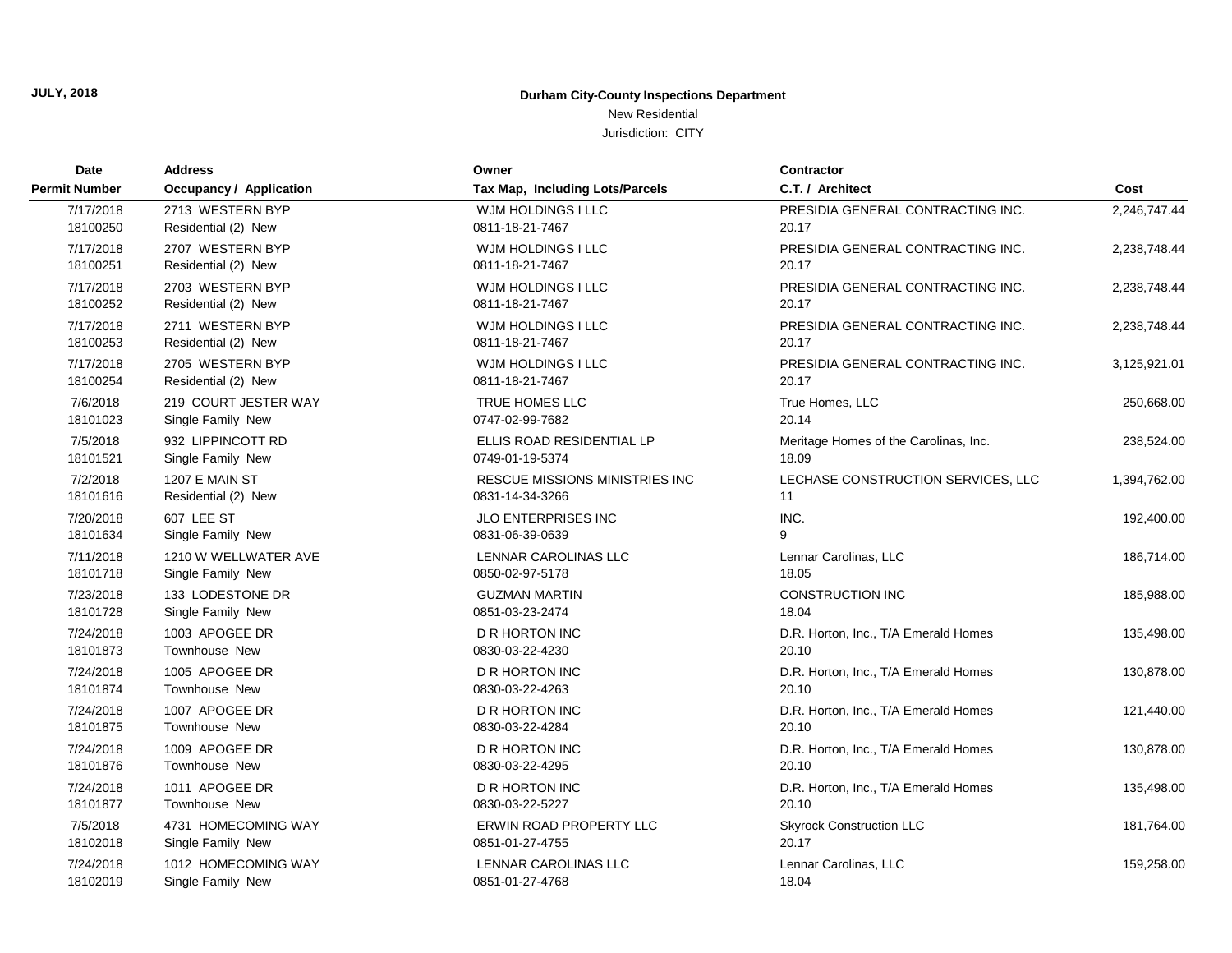**JULY, 2018**

### **Durham City-County Inspections Department**

### New Residential

| Date                 | <b>Address</b>          | Owner                           | <b>Contractor</b>                     |              |
|----------------------|-------------------------|---------------------------------|---------------------------------------|--------------|
| <b>Permit Number</b> | Occupancy / Application | Tax Map, Including Lots/Parcels | C.T. / Architect                      | Cost         |
| 7/17/2018            | 2713 WESTERN BYP        | WJM HOLDINGS I LLC              | PRESIDIA GENERAL CONTRACTING INC.     | 2,246,747.44 |
| 18100250             | Residential (2) New     | 0811-18-21-7467                 | 20.17                                 |              |
| 7/17/2018            | 2707 WESTERN BYP        | WJM HOLDINGS I LLC              | PRESIDIA GENERAL CONTRACTING INC.     | 2,238,748.44 |
| 18100251             | Residential (2) New     | 0811-18-21-7467                 | 20.17                                 |              |
| 7/17/2018            | 2703 WESTERN BYP        | WJM HOLDINGS I LLC              | PRESIDIA GENERAL CONTRACTING INC.     | 2,238,748.44 |
| 18100252             | Residential (2) New     | 0811-18-21-7467                 | 20.17                                 |              |
| 7/17/2018            | 2711 WESTERN BYP        | WJM HOLDINGS I LLC              | PRESIDIA GENERAL CONTRACTING INC.     | 2,238,748.44 |
| 18100253             | Residential (2) New     | 0811-18-21-7467                 | 20.17                                 |              |
| 7/17/2018            | 2705 WESTERN BYP        | WJM HOLDINGS I LLC              | PRESIDIA GENERAL CONTRACTING INC.     | 3,125,921.01 |
| 18100254             | Residential (2) New     | 0811-18-21-7467                 | 20.17                                 |              |
| 7/6/2018             | 219 COURT JESTER WAY    | TRUE HOMES LLC                  | True Homes, LLC                       | 250,668.00   |
| 18101023             | Single Family New       | 0747-02-99-7682                 | 20.14                                 |              |
| 7/5/2018             | 932 LIPPINCOTT RD       | ELLIS ROAD RESIDENTIAL LP       | Meritage Homes of the Carolinas, Inc. | 238,524.00   |
| 18101521             | Single Family New       | 0749-01-19-5374                 | 18.09                                 |              |
| 7/2/2018             | 1207 E MAIN ST          | RESCUE MISSIONS MINISTRIES INC  | LECHASE CONSTRUCTION SERVICES, LLC    | 1,394,762.00 |
| 18101616             | Residential (2) New     | 0831-14-34-3266                 | 11                                    |              |
| 7/20/2018            | 607 LEE ST              | <b>JLO ENTERPRISES INC</b>      | INC.                                  | 192,400.00   |
| 18101634             | Single Family New       | 0831-06-39-0639                 | 9                                     |              |
| 7/11/2018            | 1210 W WELLWATER AVE    | LENNAR CAROLINAS LLC            | Lennar Carolinas, LLC                 | 186,714.00   |
| 18101718             | Single Family New       | 0850-02-97-5178                 | 18.05                                 |              |
| 7/23/2018            | 133 LODESTONE DR        | <b>GUZMAN MARTIN</b>            | <b>CONSTRUCTION INC</b>               | 185,988.00   |
| 18101728             | Single Family New       | 0851-03-23-2474                 | 18.04                                 |              |
| 7/24/2018            | 1003 APOGEE DR          | D R HORTON INC                  | D.R. Horton, Inc., T/A Emerald Homes  | 135,498.00   |
| 18101873             | Townhouse New           | 0830-03-22-4230                 | 20.10                                 |              |
| 7/24/2018            | 1005 APOGEE DR          | <b>D R HORTON INC</b>           | D.R. Horton, Inc., T/A Emerald Homes  | 130,878.00   |
| 18101874             | <b>Townhouse New</b>    | 0830-03-22-4263                 | 20.10                                 |              |
| 7/24/2018            | 1007 APOGEE DR          | <b>D R HORTON INC</b>           | D.R. Horton, Inc., T/A Emerald Homes  | 121,440.00   |
| 18101875             | <b>Townhouse New</b>    | 0830-03-22-4284                 | 20.10                                 |              |
| 7/24/2018            | 1009 APOGEE DR          | <b>D R HORTON INC</b>           | D.R. Horton, Inc., T/A Emerald Homes  | 130,878.00   |
| 18101876             | <b>Townhouse New</b>    | 0830-03-22-4295                 | 20.10                                 |              |
| 7/24/2018            | 1011 APOGEE DR          | D R HORTON INC                  | D.R. Horton, Inc., T/A Emerald Homes  | 135,498.00   |
| 18101877             | Townhouse New           | 0830-03-22-5227                 | 20.10                                 |              |
| 7/5/2018             | 4731 HOMECOMING WAY     | ERWIN ROAD PROPERTY LLC         | <b>Skyrock Construction LLC</b>       | 181,764.00   |
| 18102018             | Single Family New       | 0851-01-27-4755                 | 20.17                                 |              |
| 7/24/2018            | 1012 HOMECOMING WAY     | LENNAR CAROLINAS LLC            | Lennar Carolinas, LLC                 | 159,258.00   |
| 18102019             | Single Family New       | 0851-01-27-4768                 | 18.04                                 |              |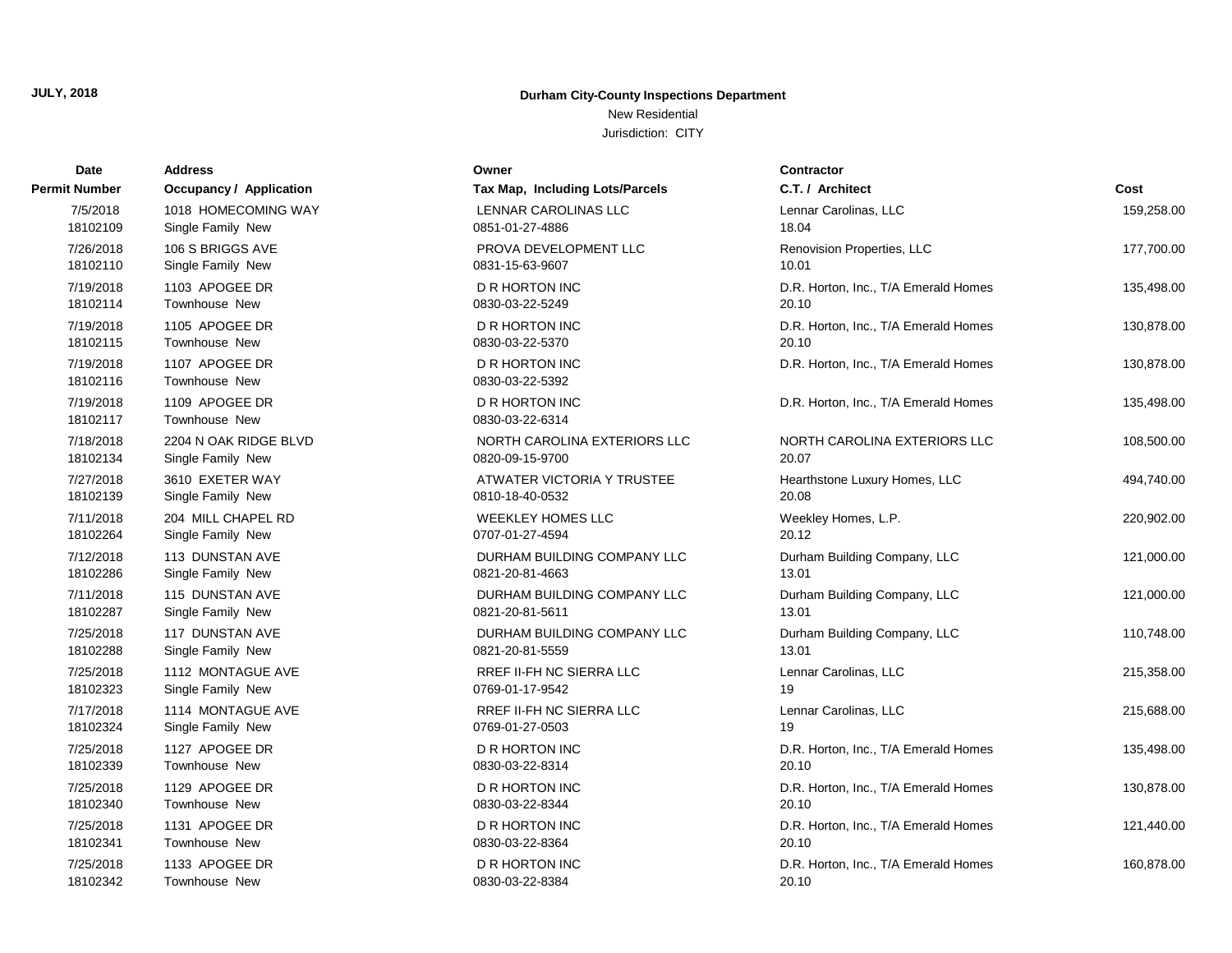New Residential

| <b>Date</b>           | <b>Address</b>                         | Owner                                    | <b>Contractor</b>                    |            |
|-----------------------|----------------------------------------|------------------------------------------|--------------------------------------|------------|
| Permit Number         | <b>Occupancy / Application</b>         | Tax Map, Including Lots/Parcels          | C.T. / Architect                     | Cost       |
| 7/5/2018              | 1018 HOMECOMING WAY                    | <b>LENNAR CAROLINAS LLC</b>              | Lennar Carolinas, LLC                | 159,258.00 |
| 18102109              | Single Family New                      | 0851-01-27-4886                          | 18.04                                |            |
| 7/26/2018             | 106 S BRIGGS AVE                       | PROVA DEVELOPMENT LLC                    | Renovision Properties, LLC           | 177,700.00 |
| 18102110              | Single Family New                      | 0831-15-63-9607                          | 10.01                                |            |
| 7/19/2018             | 1103 APOGEE DR                         | <b>D R HORTON INC</b>                    | D.R. Horton, Inc., T/A Emerald Homes | 135,498.00 |
| 18102114              | <b>Townhouse New</b>                   | 0830-03-22-5249                          | 20.10                                |            |
| 7/19/2018             | 1105 APOGEE DR                         | <b>D R HORTON INC</b>                    | D.R. Horton, Inc., T/A Emerald Homes | 130,878.00 |
| 18102115              | Townhouse New                          | 0830-03-22-5370                          | 20.10                                |            |
| 7/19/2018<br>18102116 | 1107 APOGEE DR<br>Townhouse New        | <b>D R HORTON INC</b><br>0830-03-22-5392 | D.R. Horton, Inc., T/A Emerald Homes | 130,878.00 |
| 7/19/2018<br>18102117 | 1109 APOGEE DR<br><b>Townhouse New</b> | <b>D R HORTON INC</b><br>0830-03-22-6314 | D.R. Horton, Inc., T/A Emerald Homes | 135,498.00 |
| 7/18/2018             | 2204 N OAK RIDGE BLVD                  | NORTH CAROLINA EXTERIORS LLC             | NORTH CAROLINA EXTERIORS LLC         | 108,500.00 |
| 18102134              | Single Family New                      | 0820-09-15-9700                          | 20.07                                |            |
| 7/27/2018             | 3610 EXETER WAY                        | ATWATER VICTORIA Y TRUSTEE               | Hearthstone Luxury Homes, LLC        | 494,740.00 |
| 18102139              | Single Family New                      | 0810-18-40-0532                          | 20.08                                |            |
| 7/11/2018             | 204 MILL CHAPEL RD                     | <b>WEEKLEY HOMES LLC</b>                 | Weekley Homes, L.P.                  | 220,902.00 |
| 18102264              | Single Family New                      | 0707-01-27-4594                          | 20.12                                |            |
| 7/12/2018             | 113 DUNSTAN AVE                        | DURHAM BUILDING COMPANY LLC              | Durham Building Company, LLC         | 121,000.00 |
| 18102286              | Single Family New                      | 0821-20-81-4663                          | 13.01                                |            |
| 7/11/2018             | 115 DUNSTAN AVE                        | DURHAM BUILDING COMPANY LLC              | Durham Building Company, LLC         | 121,000.00 |
| 18102287              | Single Family New                      | 0821-20-81-5611                          | 13.01                                |            |
| 7/25/2018             | 117 DUNSTAN AVE                        | DURHAM BUILDING COMPANY LLC              | Durham Building Company, LLC         | 110,748.00 |
| 18102288              | Single Family New                      | 0821-20-81-5559                          | 13.01                                |            |
| 7/25/2018             | 1112 MONTAGUE AVE                      | RREF II-FH NC SIERRA LLC                 | Lennar Carolinas, LLC                | 215,358.00 |
| 18102323              | Single Family New                      | 0769-01-17-9542                          | 19                                   |            |
| 7/17/2018             | 1114 MONTAGUE AVE                      | RREF II-FH NC SIERRA LLC                 | Lennar Carolinas, LLC                | 215,688.00 |
| 18102324              | Single Family New                      | 0769-01-27-0503                          | 19                                   |            |
| 7/25/2018             | 1127 APOGEE DR                         | D R HORTON INC                           | D.R. Horton, Inc., T/A Emerald Homes | 135,498.00 |
| 18102339              | Townhouse New                          | 0830-03-22-8314                          | 20.10                                |            |
| 7/25/2018             | 1129 APOGEE DR                         | <b>D R HORTON INC</b>                    | D.R. Horton, Inc., T/A Emerald Homes | 130,878.00 |
| 18102340              | Townhouse New                          | 0830-03-22-8344                          | 20.10                                |            |
| 7/25/2018             | 1131 APOGEE DR                         | <b>D R HORTON INC</b>                    | D.R. Horton, Inc., T/A Emerald Homes | 121,440.00 |
| 18102341              | <b>Townhouse New</b>                   | 0830-03-22-8364                          | 20.10                                |            |
| 7/25/2018             | 1133 APOGEE DR                         | <b>D R HORTON INC</b>                    | D.R. Horton, Inc., T/A Emerald Homes | 160,878.00 |
| 18102342              | <b>Townhouse New</b>                   | 0830-03-22-8384                          | 20.10                                |            |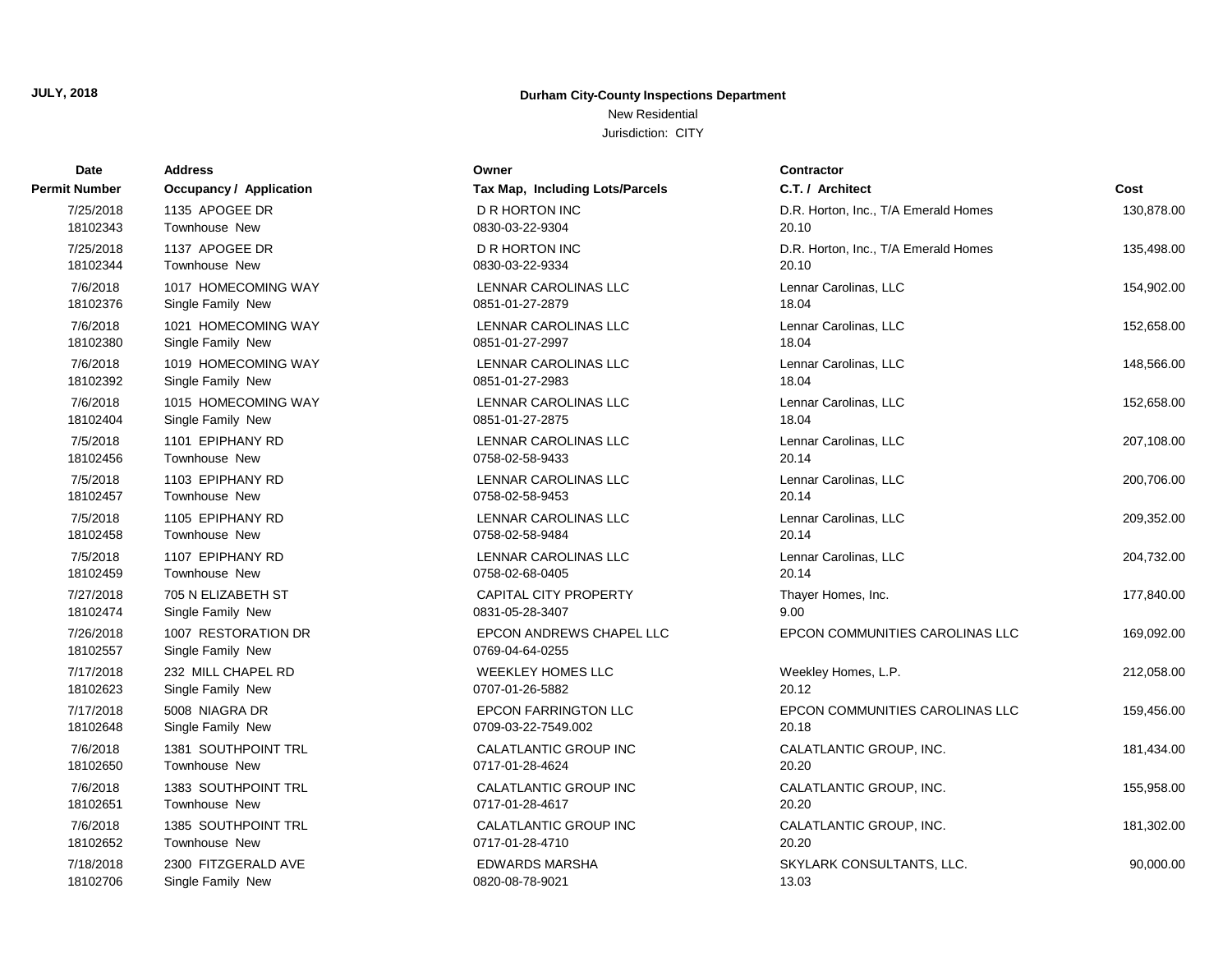New Residential

| Date                  | <b>Address</b>                           | Owner                                       | <b>Contractor</b>                    |            |
|-----------------------|------------------------------------------|---------------------------------------------|--------------------------------------|------------|
| Permit Number         | <b>Occupancy / Application</b>           | Tax Map, Including Lots/Parcels             | C.T. / Architect                     | Cost       |
| 7/25/2018             | 1135 APOGEE DR                           | <b>D R HORTON INC</b>                       | D.R. Horton, Inc., T/A Emerald Homes | 130,878.00 |
| 18102343              | <b>Townhouse New</b>                     | 0830-03-22-9304                             | 20.10                                |            |
| 7/25/2018             | 1137 APOGEE DR                           | <b>D R HORTON INC</b>                       | D.R. Horton, Inc., T/A Emerald Homes | 135,498.00 |
| 18102344              | <b>Townhouse New</b>                     | 0830-03-22-9334                             | 20.10                                |            |
| 7/6/2018              | 1017 HOMECOMING WAY                      | <b>LENNAR CAROLINAS LLC</b>                 | Lennar Carolinas, LLC                | 154,902.00 |
| 18102376              | Single Family New                        | 0851-01-27-2879                             | 18.04                                |            |
| 7/6/2018              | 1021 HOMECOMING WAY                      | LENNAR CAROLINAS LLC                        | Lennar Carolinas, LLC                | 152,658.00 |
| 18102380              | Single Family New                        | 0851-01-27-2997                             | 18.04                                |            |
| 7/6/2018              | 1019 HOMECOMING WAY                      | LENNAR CAROLINAS LLC                        | Lennar Carolinas, LLC                | 148,566.00 |
| 18102392              | Single Family New                        | 0851-01-27-2983                             | 18.04                                |            |
| 7/6/2018              | 1015 HOMECOMING WAY                      | LENNAR CAROLINAS LLC                        | Lennar Carolinas, LLC                | 152,658.00 |
| 18102404              | Single Family New                        | 0851-01-27-2875                             | 18.04                                |            |
| 7/5/2018              | 1101 EPIPHANY RD                         | LENNAR CAROLINAS LLC                        | Lennar Carolinas, LLC                | 207,108.00 |
| 18102456              | <b>Townhouse New</b>                     | 0758-02-58-9433                             | 20.14                                |            |
| 7/5/2018              | 1103 EPIPHANY RD                         | LENNAR CAROLINAS LLC                        | Lennar Carolinas, LLC                | 200,706.00 |
| 18102457              | <b>Townhouse New</b>                     | 0758-02-58-9453                             | 20.14                                |            |
| 7/5/2018              | 1105 EPIPHANY RD                         | LENNAR CAROLINAS LLC                        | Lennar Carolinas, LLC                | 209,352.00 |
| 18102458              | <b>Townhouse New</b>                     | 0758-02-58-9484                             | 20.14                                |            |
| 7/5/2018              | 1107 EPIPHANY RD                         | LENNAR CAROLINAS LLC                        | Lennar Carolinas, LLC                | 204,732.00 |
| 18102459              | Townhouse New                            | 0758-02-68-0405                             | 20.14                                |            |
| 7/27/2018             | 705 N ELIZABETH ST                       | CAPITAL CITY PROPERTY                       | Thayer Homes, Inc.                   | 177,840.00 |
| 18102474              | Single Family New                        | 0831-05-28-3407                             | 9.00                                 |            |
| 7/26/2018<br>18102557 | 1007 RESTORATION DR<br>Single Family New | EPCON ANDREWS CHAPEL LLC<br>0769-04-64-0255 | EPCON COMMUNITIES CAROLINAS LLC      | 169,092.00 |
| 7/17/2018             | 232 MILL CHAPEL RD                       | <b>WEEKLEY HOMES LLC</b>                    | Weekley Homes, L.P.                  | 212,058.00 |
| 18102623              | Single Family New                        | 0707-01-26-5882                             | 20.12                                |            |
| 7/17/2018             | 5008 NIAGRA DR                           | <b>EPCON FARRINGTON LLC</b>                 | EPCON COMMUNITIES CAROLINAS LLC      | 159,456.00 |
| 18102648              | Single Family New                        | 0709-03-22-7549.002                         | 20.18                                |            |
| 7/6/2018              | 1381 SOUTHPOINT TRL                      | CALATLANTIC GROUP INC                       | CALATLANTIC GROUP, INC.              | 181,434.00 |
| 18102650              | <b>Townhouse New</b>                     | 0717-01-28-4624                             | 20.20                                |            |
| 7/6/2018              | 1383 SOUTHPOINT TRL                      | <b>CALATLANTIC GROUP INC</b>                | CALATLANTIC GROUP, INC.              | 155,958.00 |
| 18102651              | <b>Townhouse New</b>                     | 0717-01-28-4617                             | 20.20                                |            |
| 7/6/2018              | 1385 SOUTHPOINT TRL                      | CALATLANTIC GROUP INC                       | CALATLANTIC GROUP, INC.              | 181,302.00 |
| 18102652              | <b>Townhouse New</b>                     | 0717-01-28-4710                             | 20.20                                |            |
| 7/18/2018             | 2300 FITZGERALD AVE                      | <b>EDWARDS MARSHA</b>                       | SKYLARK CONSULTANTS, LLC.            | 90,000.00  |
| 18102706              | Single Family New                        | 0820-08-78-9021                             | 13.03                                |            |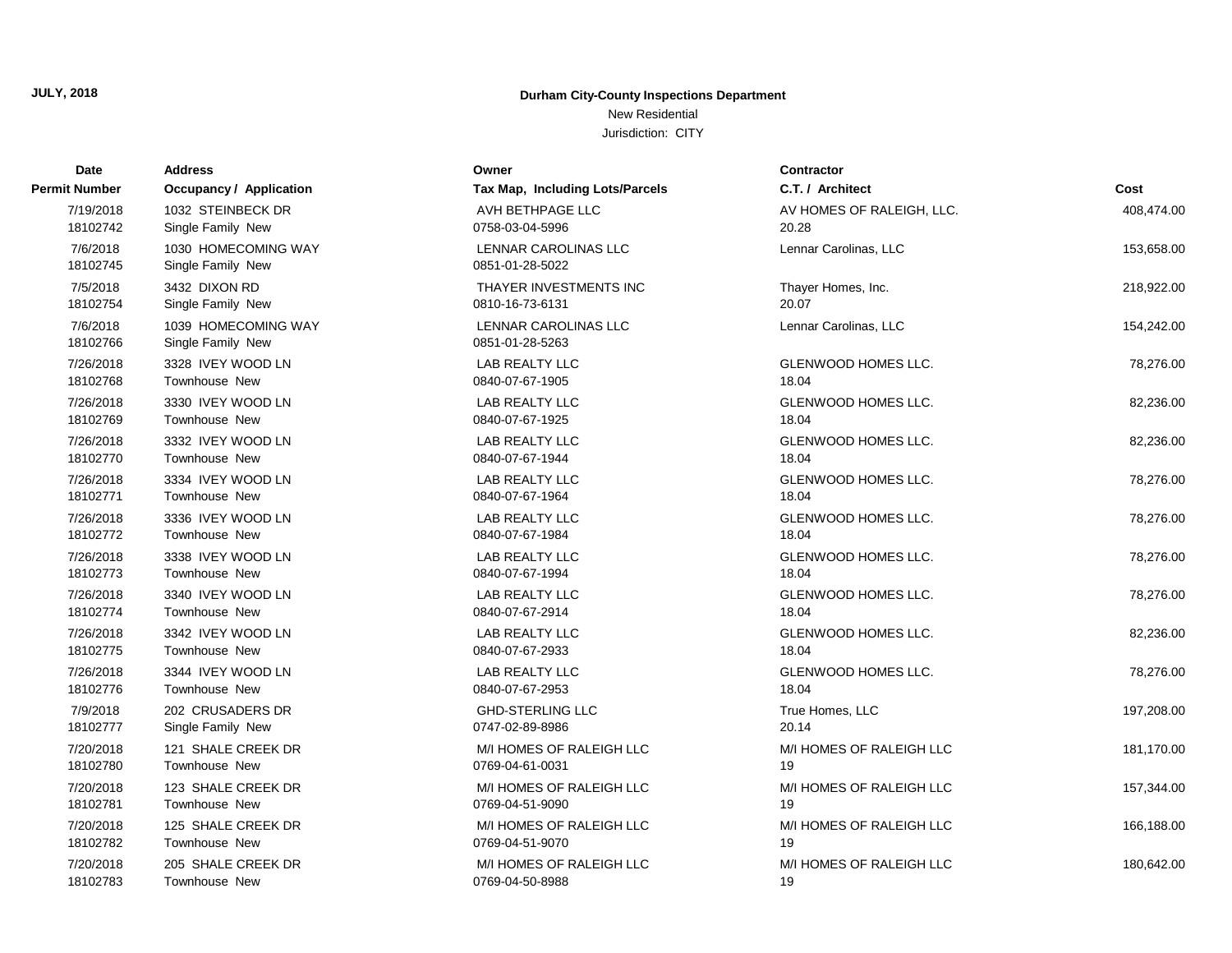### New Residential

| <b>Date</b>          | <b>Address</b>                           | Owner                                   | Contractor                 |            |
|----------------------|------------------------------------------|-----------------------------------------|----------------------------|------------|
| Permit Number        | <b>Occupancy / Application</b>           | Tax Map, Including Lots/Parcels         | C.T. / Architect           | Cost       |
| 7/19/2018            | 1032 STEINBECK DR                        | AVH BETHPAGE LLC                        | AV HOMES OF RALEIGH, LLC.  | 408,474.00 |
| 18102742             | Single Family New                        | 0758-03-04-5996                         | 20.28                      |            |
| 7/6/2018<br>18102745 | 1030 HOMECOMING WAY<br>Single Family New | LENNAR CAROLINAS LLC<br>0851-01-28-5022 | Lennar Carolinas, LLC      | 153,658.00 |
| 7/5/2018             | 3432 DIXON RD                            | THAYER INVESTMENTS INC                  | Thayer Homes, Inc.         | 218,922.00 |
| 18102754             | Single Family New                        | 0810-16-73-6131                         | 20.07                      |            |
| 7/6/2018<br>18102766 | 1039 HOMECOMING WAY<br>Single Family New | LENNAR CAROLINAS LLC<br>0851-01-28-5263 | Lennar Carolinas, LLC      | 154,242.00 |
| 7/26/2018            | 3328 IVEY WOOD LN                        | <b>LAB REALTY LLC</b>                   | <b>GLENWOOD HOMES LLC.</b> | 78,276.00  |
| 18102768             | Townhouse New                            | 0840-07-67-1905                         | 18.04                      |            |
| 7/26/2018            | 3330 IVEY WOOD LN                        | <b>LAB REALTY LLC</b>                   | <b>GLENWOOD HOMES LLC.</b> | 82,236.00  |
| 18102769             | <b>Townhouse New</b>                     | 0840-07-67-1925                         | 18.04                      |            |
| 7/26/2018            | 3332 IVEY WOOD LN                        | <b>LAB REALTY LLC</b>                   | GLENWOOD HOMES LLC.        | 82,236.00  |
| 18102770             | <b>Townhouse New</b>                     | 0840-07-67-1944                         | 18.04                      |            |
| 7/26/2018            | 3334 IVEY WOOD LN                        | <b>LAB REALTY LLC</b>                   | GLENWOOD HOMES LLC.        | 78,276.00  |
| 18102771             | Townhouse New                            | 0840-07-67-1964                         | 18.04                      |            |
| 7/26/2018            | 3336 IVEY WOOD LN                        | <b>LAB REALTY LLC</b>                   | <b>GLENWOOD HOMES LLC.</b> | 78,276.00  |
| 18102772             | <b>Townhouse New</b>                     | 0840-07-67-1984                         | 18.04                      |            |
| 7/26/2018            | 3338 IVEY WOOD LN                        | LAB REALTY LLC                          | GLENWOOD HOMES LLC.        | 78,276.00  |
| 18102773             | Townhouse New                            | 0840-07-67-1994                         | 18.04                      |            |
| 7/26/2018            | 3340 IVEY WOOD LN                        | <b>LAB REALTY LLC</b>                   | GLENWOOD HOMES LLC.        | 78,276.00  |
| 18102774             | Townhouse New                            | 0840-07-67-2914                         | 18.04                      |            |
| 7/26/2018            | 3342 IVEY WOOD LN                        | <b>LAB REALTY LLC</b>                   | GLENWOOD HOMES LLC.        | 82,236.00  |
| 18102775             | Townhouse New                            | 0840-07-67-2933                         | 18.04                      |            |
| 7/26/2018            | 3344 IVEY WOOD LN                        | LAB REALTY LLC                          | GLENWOOD HOMES LLC.        | 78,276.00  |
| 18102776             | <b>Townhouse New</b>                     | 0840-07-67-2953                         | 18.04                      |            |
| 7/9/2018             | 202 CRUSADERS DR                         | <b>GHD-STERLING LLC</b>                 | True Homes, LLC            | 197,208.00 |
| 18102777             | Single Family New                        | 0747-02-89-8986                         | 20.14                      |            |
| 7/20/2018            | 121 SHALE CREEK DR                       | M/I HOMES OF RALEIGH LLC                | M/I HOMES OF RALEIGH LLC   | 181,170.00 |
| 18102780             | <b>Townhouse New</b>                     | 0769-04-61-0031                         | 19                         |            |
| 7/20/2018            | 123 SHALE CREEK DR                       | M/I HOMES OF RALEIGH LLC                | M/I HOMES OF RALEIGH LLC   | 157,344.00 |
| 18102781             | <b>Townhouse New</b>                     | 0769-04-51-9090                         | 19                         |            |
| 7/20/2018            | 125 SHALE CREEK DR                       | M/I HOMES OF RALEIGH LLC                | M/I HOMES OF RALEIGH LLC   | 166,188.00 |
| 18102782             | <b>Townhouse New</b>                     | 0769-04-51-9070                         | 19                         |            |
| 7/20/2018            | 205 SHALE CREEK DR                       | M/I HOMES OF RALEIGH LLC                | M/I HOMES OF RALEIGH LLC   | 180,642.00 |
| 18102783             | <b>Townhouse New</b>                     | 0769-04-50-8988                         | 19                         |            |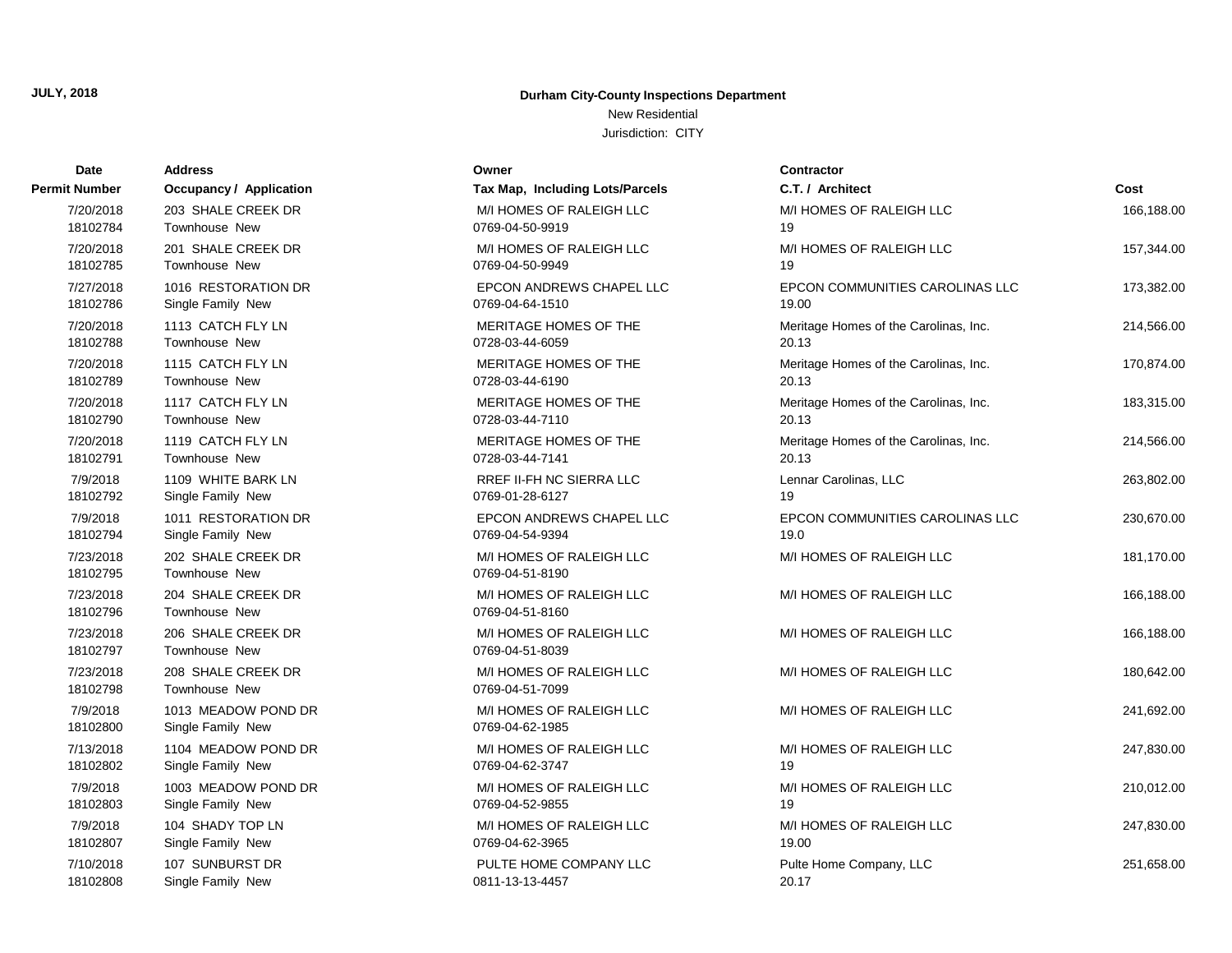New Residential

| Date                  | <b>Address</b>                           | Owner                                       | <b>Contractor</b>                     |            |
|-----------------------|------------------------------------------|---------------------------------------------|---------------------------------------|------------|
| Permit Number         | <b>Occupancy / Application</b>           | Tax Map, Including Lots/Parcels             | C.T. / Architect                      | Cost       |
| 7/20/2018             | 203 SHALE CREEK DR                       | M/I HOMES OF RALEIGH LLC                    | M/I HOMES OF RALEIGH LLC              | 166,188.00 |
| 18102784              | Townhouse New                            | 0769-04-50-9919                             | 19                                    |            |
| 7/20/2018             | 201 SHALE CREEK DR                       | M/I HOMES OF RALEIGH LLC                    | M/I HOMES OF RALEIGH LLC              | 157,344.00 |
| 18102785              | Townhouse New                            | 0769-04-50-9949                             | 19                                    |            |
| 7/27/2018             | 1016 RESTORATION DR                      | EPCON ANDREWS CHAPEL LLC                    | EPCON COMMUNITIES CAROLINAS LLC       | 173,382.00 |
| 18102786              | Single Family New                        | 0769-04-64-1510                             | 19.00                                 |            |
| 7/20/2018             | 1113 CATCH FLY LN                        | MERITAGE HOMES OF THE                       | Meritage Homes of the Carolinas, Inc. | 214,566.00 |
| 18102788              | Townhouse New                            | 0728-03-44-6059                             | 20.13                                 |            |
| 7/20/2018             | 1115 CATCH FLY LN                        | MERITAGE HOMES OF THE                       | Meritage Homes of the Carolinas, Inc. | 170,874.00 |
| 18102789              | Townhouse New                            | 0728-03-44-6190                             | 20.13                                 |            |
| 7/20/2018             | 1117 CATCH FLY LN                        | MERITAGE HOMES OF THE                       | Meritage Homes of the Carolinas, Inc. | 183,315.00 |
| 18102790              | Townhouse New                            | 0728-03-44-7110                             | 20.13                                 |            |
| 7/20/2018             | 1119 CATCH FLY LN                        | MERITAGE HOMES OF THE                       | Meritage Homes of the Carolinas, Inc. | 214,566.00 |
| 18102791              | Townhouse New                            | 0728-03-44-7141                             | 20.13                                 |            |
| 7/9/2018              | 1109 WHITE BARK LN                       | RREF II-FH NC SIERRA LLC                    | Lennar Carolinas, LLC                 | 263,802.00 |
| 18102792              | Single Family New                        | 0769-01-28-6127                             | 19                                    |            |
| 7/9/2018              | 1011 RESTORATION DR                      | EPCON ANDREWS CHAPEL LLC                    | EPCON COMMUNITIES CAROLINAS LLC       | 230,670.00 |
| 18102794              | Single Family New                        | 0769-04-54-9394                             | 19.0                                  |            |
| 7/23/2018<br>18102795 | 202 SHALE CREEK DR<br>Townhouse New      | M/I HOMES OF RALEIGH LLC<br>0769-04-51-8190 | M/I HOMES OF RALEIGH LLC              | 181,170.00 |
| 7/23/2018<br>18102796 | 204 SHALE CREEK DR<br>Townhouse New      | M/I HOMES OF RALEIGH LLC<br>0769-04-51-8160 | M/I HOMES OF RALEIGH LLC              | 166,188.00 |
| 7/23/2018<br>18102797 | 206 SHALE CREEK DR<br>Townhouse New      | M/I HOMES OF RALEIGH LLC<br>0769-04-51-8039 | M/I HOMES OF RALEIGH LLC              | 166,188.00 |
| 7/23/2018<br>18102798 | 208 SHALE CREEK DR<br>Townhouse New      | M/I HOMES OF RALEIGH LLC<br>0769-04-51-7099 | M/I HOMES OF RALEIGH LLC              | 180,642.00 |
| 7/9/2018<br>18102800  | 1013 MEADOW POND DR<br>Single Family New | M/I HOMES OF RALEIGH LLC<br>0769-04-62-1985 | M/I HOMES OF RALEIGH LLC              | 241,692.00 |
| 7/13/2018             | 1104 MEADOW POND DR                      | M/I HOMES OF RALEIGH LLC                    | M/I HOMES OF RALEIGH LLC              | 247,830.00 |
| 18102802              | Single Family New                        | 0769-04-62-3747                             | 19                                    |            |
| 7/9/2018              | 1003 MEADOW POND DR                      | M/I HOMES OF RALEIGH LLC                    | M/I HOMES OF RALEIGH LLC              | 210,012.00 |
| 18102803              | Single Family New                        | 0769-04-52-9855                             | 19                                    |            |
| 7/9/2018              | 104 SHADY TOP LN                         | M/I HOMES OF RALEIGH LLC                    | M/I HOMES OF RALEIGH LLC              | 247,830.00 |
| 18102807              | Single Family New                        | 0769-04-62-3965                             | 19.00                                 |            |
| 7/10/2018             | 107 SUNBURST DR                          | PULTE HOME COMPANY LLC                      | Pulte Home Company, LLC               | 251,658.00 |
| 18102808              | Single Family New                        | 0811-13-13-4457                             | 20.17                                 |            |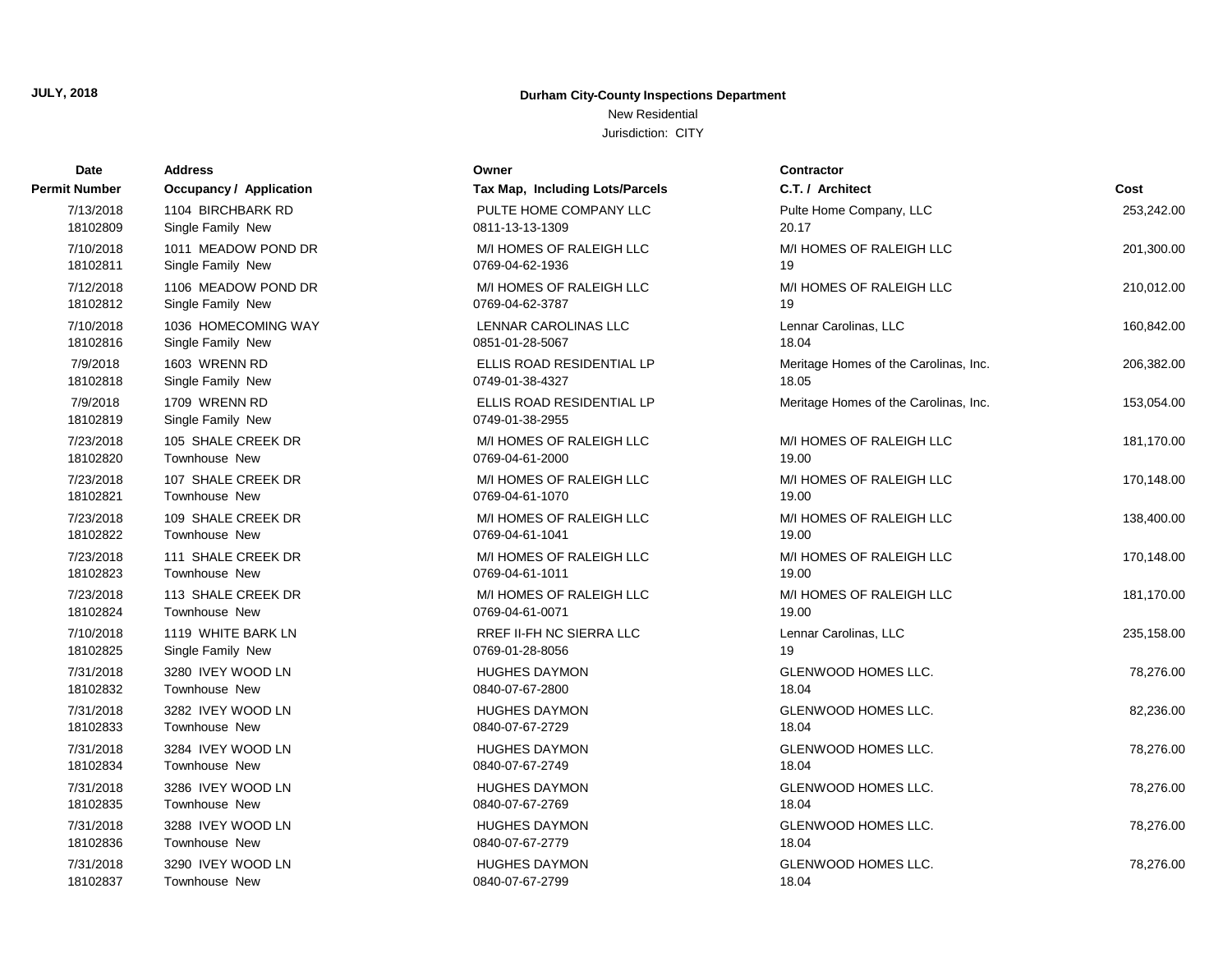### New Residential

| Date                 | <b>Address</b>                     | Owner                                        | <b>Contractor</b>                     |            |
|----------------------|------------------------------------|----------------------------------------------|---------------------------------------|------------|
| Permit Number        | <b>Occupancy / Application</b>     | Tax Map, Including Lots/Parcels              | C.T. / Architect                      | Cost       |
| 7/13/2018            | 1104 BIRCHBARK RD                  | PULTE HOME COMPANY LLC                       | Pulte Home Company, LLC               | 253,242.00 |
| 18102809             | Single Family New                  | 0811-13-13-1309                              | 20.17                                 |            |
| 7/10/2018            | 1011 MEADOW POND DR                | M/I HOMES OF RALEIGH LLC                     | M/I HOMES OF RALEIGH LLC              | 201,300.00 |
| 18102811             | Single Family New                  | 0769-04-62-1936                              | 19                                    |            |
| 7/12/2018            | 1106 MEADOW POND DR                | M/I HOMES OF RALEIGH LLC                     | M/I HOMES OF RALEIGH LLC              | 210,012.00 |
| 18102812             | Single Family New                  | 0769-04-62-3787                              | 19                                    |            |
| 7/10/2018            | 1036 HOMECOMING WAY                | LENNAR CAROLINAS LLC                         | Lennar Carolinas, LLC                 | 160,842.00 |
| 18102816             | Single Family New                  | 0851-01-28-5067                              | 18.04                                 |            |
| 7/9/2018             | 1603 WRENN RD                      | ELLIS ROAD RESIDENTIAL LP                    | Meritage Homes of the Carolinas, Inc. | 206,382.00 |
| 18102818             | Single Family New                  | 0749-01-38-4327                              | 18.05                                 |            |
| 7/9/2018<br>18102819 | 1709 WRENN RD<br>Single Family New | ELLIS ROAD RESIDENTIAL LP<br>0749-01-38-2955 | Meritage Homes of the Carolinas, Inc. | 153,054.00 |
| 7/23/2018            | 105 SHALE CREEK DR                 | M/I HOMES OF RALEIGH LLC                     | M/I HOMES OF RALEIGH LLC              | 181,170.00 |
| 18102820             | Townhouse New                      | 0769-04-61-2000                              | 19.00                                 |            |
| 7/23/2018            | 107 SHALE CREEK DR                 | M/I HOMES OF RALEIGH LLC                     | M/I HOMES OF RALEIGH LLC              | 170,148.00 |
| 18102821             | Townhouse New                      | 0769-04-61-1070                              | 19.00                                 |            |
| 7/23/2018            | 109 SHALE CREEK DR                 | M/I HOMES OF RALEIGH LLC                     | M/I HOMES OF RALEIGH LLC              | 138,400.00 |
| 18102822             | Townhouse New                      | 0769-04-61-1041                              | 19.00                                 |            |
| 7/23/2018            | 111 SHALE CREEK DR                 | M/I HOMES OF RALEIGH LLC                     | M/I HOMES OF RALEIGH LLC              | 170,148.00 |
| 18102823             | Townhouse New                      | 0769-04-61-1011                              | 19.00                                 |            |
| 7/23/2018            | 113 SHALE CREEK DR                 | M/I HOMES OF RALEIGH LLC                     | M/I HOMES OF RALEIGH LLC              | 181,170.00 |
| 18102824             | Townhouse New                      | 0769-04-61-0071                              | 19.00                                 |            |
| 7/10/2018            | 1119 WHITE BARK LN                 | RREF II-FH NC SIERRA LLC                     | Lennar Carolinas, LLC                 | 235,158.00 |
| 18102825             | Single Family New                  | 0769-01-28-8056                              | 19                                    |            |
| 7/31/2018            | 3280 IVEY WOOD LN                  | <b>HUGHES DAYMON</b>                         | GLENWOOD HOMES LLC.                   | 78,276.00  |
| 18102832             | Townhouse New                      | 0840-07-67-2800                              | 18.04                                 |            |
| 7/31/2018            | 3282 IVEY WOOD LN                  | <b>HUGHES DAYMON</b>                         | GLENWOOD HOMES LLC.                   | 82,236.00  |
| 18102833             | Townhouse New                      | 0840-07-67-2729                              | 18.04                                 |            |
| 7/31/2018            | 3284 IVEY WOOD LN                  | <b>HUGHES DAYMON</b>                         | GLENWOOD HOMES LLC.                   | 78,276.00  |
| 18102834             | Townhouse New                      | 0840-07-67-2749                              | 18.04                                 |            |
| 7/31/2018            | 3286 IVEY WOOD LN                  | <b>HUGHES DAYMON</b>                         | <b>GLENWOOD HOMES LLC.</b>            | 78,276.00  |
| 18102835             | Townhouse New                      | 0840-07-67-2769                              | 18.04                                 |            |
| 7/31/2018            | 3288 IVEY WOOD LN                  | <b>HUGHES DAYMON</b>                         | GLENWOOD HOMES LLC.                   | 78,276.00  |
| 18102836             | Townhouse New                      | 0840-07-67-2779                              | 18.04                                 |            |
| 7/31/2018            | 3290 IVEY WOOD LN                  | <b>HUGHES DAYMON</b>                         | <b>GLENWOOD HOMES LLC.</b>            | 78,276.00  |
| 18102837             | Townhouse New                      | 0840-07-67-2799                              | 18.04                                 |            |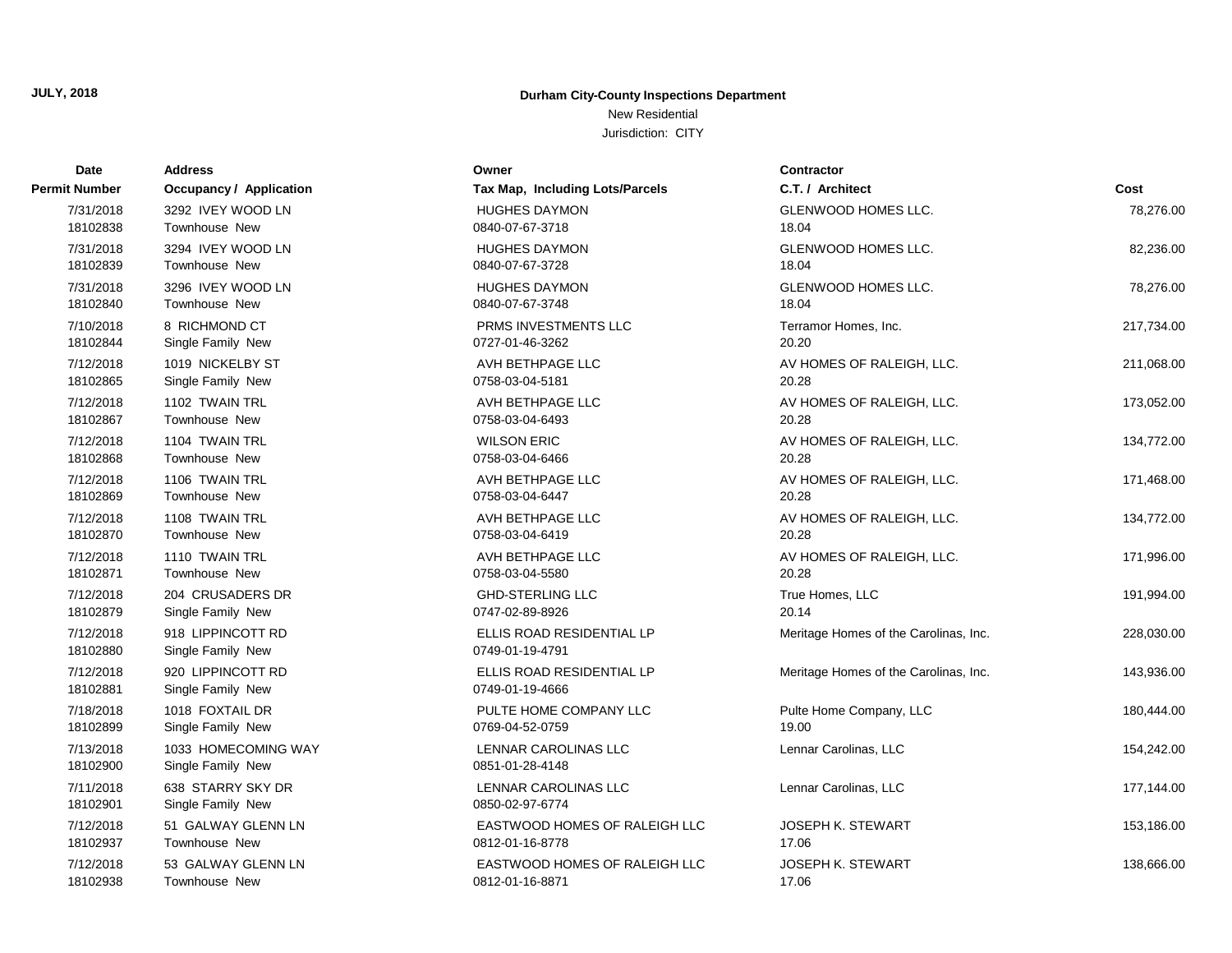### New Residential

| Date                  | <b>Address</b>                           | Owner                                        | <b>Contractor</b>                     |            |
|-----------------------|------------------------------------------|----------------------------------------------|---------------------------------------|------------|
| Permit Number         | <b>Occupancy / Application</b>           | Tax Map, Including Lots/Parcels              | C.T. / Architect                      | Cost       |
| 7/31/2018             | 3292 IVEY WOOD LN                        | <b>HUGHES DAYMON</b>                         | <b>GLENWOOD HOMES LLC.</b>            | 78,276.00  |
| 18102838              | <b>Townhouse New</b>                     | 0840-07-67-3718                              | 18.04                                 |            |
| 7/31/2018             | 3294 IVEY WOOD LN                        | <b>HUGHES DAYMON</b>                         | GLENWOOD HOMES LLC.                   | 82,236.00  |
| 18102839              | <b>Townhouse New</b>                     | 0840-07-67-3728                              | 18.04                                 |            |
| 7/31/2018             | 3296 IVEY WOOD LN                        | <b>HUGHES DAYMON</b>                         | <b>GLENWOOD HOMES LLC.</b>            | 78,276.00  |
| 18102840              | <b>Townhouse New</b>                     | 0840-07-67-3748                              | 18.04                                 |            |
| 7/10/2018             | 8 RICHMOND CT                            | PRMS INVESTMENTS LLC                         | Terramor Homes, Inc.                  | 217,734.00 |
| 18102844              | Single Family New                        | 0727-01-46-3262                              | 20.20                                 |            |
| 7/12/2018             | 1019 NICKELBY ST                         | AVH BETHPAGE LLC                             | AV HOMES OF RALEIGH, LLC.             | 211,068.00 |
| 18102865              | Single Family New                        | 0758-03-04-5181                              | 20.28                                 |            |
| 7/12/2018             | 1102 TWAIN TRL                           | AVH BETHPAGE LLC                             | AV HOMES OF RALEIGH, LLC.             | 173,052.00 |
| 18102867              | <b>Townhouse New</b>                     | 0758-03-04-6493                              | 20.28                                 |            |
| 7/12/2018             | 1104 TWAIN TRL                           | <b>WILSON ERIC</b>                           | AV HOMES OF RALEIGH, LLC.             | 134,772.00 |
| 18102868              | <b>Townhouse New</b>                     | 0758-03-04-6466                              | 20.28                                 |            |
| 7/12/2018             | 1106 TWAIN TRL                           | AVH BETHPAGE LLC                             | AV HOMES OF RALEIGH, LLC.             | 171,468.00 |
| 18102869              | <b>Townhouse New</b>                     | 0758-03-04-6447                              | 20.28                                 |            |
| 7/12/2018             | 1108 TWAIN TRL                           | AVH BETHPAGE LLC                             | AV HOMES OF RALEIGH, LLC.             | 134,772.00 |
| 18102870              | <b>Townhouse New</b>                     | 0758-03-04-6419                              | 20.28                                 |            |
| 7/12/2018             | 1110 TWAIN TRL                           | AVH BETHPAGE LLC                             | AV HOMES OF RALEIGH, LLC.             | 171,996.00 |
| 18102871              | Townhouse New                            | 0758-03-04-5580                              | 20.28                                 |            |
| 7/12/2018             | 204 CRUSADERS DR                         | <b>GHD-STERLING LLC</b>                      | True Homes, LLC                       | 191,994.00 |
| 18102879              | Single Family New                        | 0747-02-89-8926                              | 20.14                                 |            |
| 7/12/2018<br>18102880 | 918 LIPPINCOTT RD<br>Single Family New   | ELLIS ROAD RESIDENTIAL LP<br>0749-01-19-4791 | Meritage Homes of the Carolinas, Inc. | 228,030.00 |
| 7/12/2018<br>18102881 | 920 LIPPINCOTT RD<br>Single Family New   | ELLIS ROAD RESIDENTIAL LP<br>0749-01-19-4666 | Meritage Homes of the Carolinas, Inc. | 143,936.00 |
| 7/18/2018             | 1018 FOXTAIL DR                          | PULTE HOME COMPANY LLC                       | Pulte Home Company, LLC               | 180,444.00 |
| 18102899              | Single Family New                        | 0769-04-52-0759                              | 19.00                                 |            |
| 7/13/2018<br>18102900 | 1033 HOMECOMING WAY<br>Single Family New | LENNAR CAROLINAS LLC<br>0851-01-28-4148      | Lennar Carolinas, LLC                 | 154,242.00 |
| 7/11/2018<br>18102901 | 638 STARRY SKY DR<br>Single Family New   | LENNAR CAROLINAS LLC<br>0850-02-97-6774      | Lennar Carolinas, LLC                 | 177,144.00 |
| 7/12/2018             | 51 GALWAY GLENN LN                       | EASTWOOD HOMES OF RALEIGH LLC                | JOSEPH K. STEWART                     | 153,186.00 |
| 18102937              | <b>Townhouse New</b>                     | 0812-01-16-8778                              | 17.06                                 |            |
| 7/12/2018             | 53 GALWAY GLENN LN                       | EASTWOOD HOMES OF RALEIGH LLC                | <b>JOSEPH K. STEWART</b>              | 138,666.00 |
| 18102938              | Townhouse New                            | 0812-01-16-8871                              | 17.06                                 |            |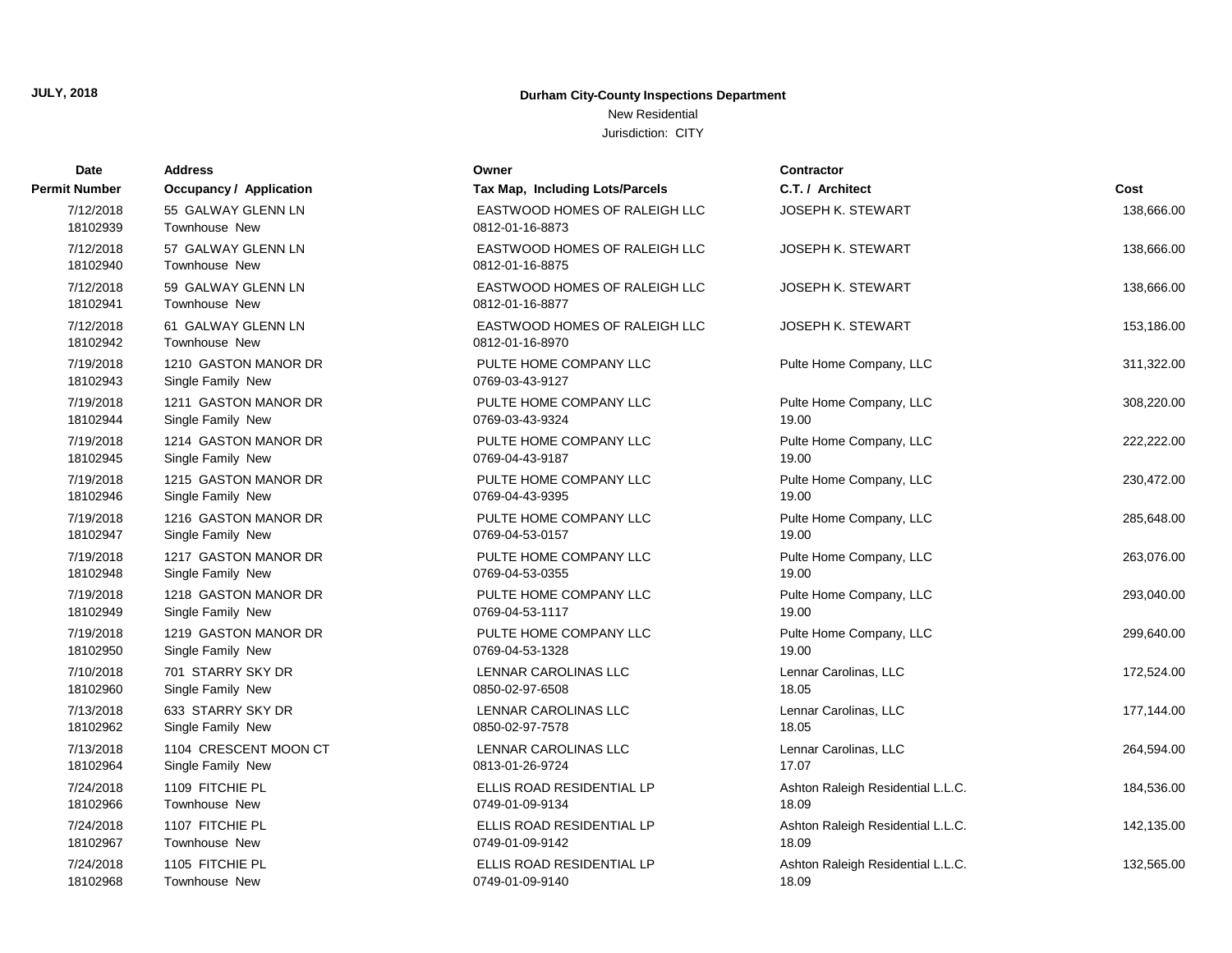### New Residential

| Date                  | <b>Address</b>                            | Owner                                            | <b>Contractor</b>                 |            |
|-----------------------|-------------------------------------------|--------------------------------------------------|-----------------------------------|------------|
| Permit Number         | <b>Occupancy / Application</b>            | Tax Map, Including Lots/Parcels                  | C.T. / Architect                  | Cost       |
| 7/12/2018<br>18102939 | 55 GALWAY GLENN LN<br>Townhouse New       | EASTWOOD HOMES OF RALEIGH LLC<br>0812-01-16-8873 | <b>JOSEPH K. STEWART</b>          | 138,666.00 |
| 7/12/2018<br>18102940 | 57 GALWAY GLENN LN<br>Townhouse New       | EASTWOOD HOMES OF RALEIGH LLC<br>0812-01-16-8875 | <b>JOSEPH K. STEWART</b>          | 138,666.00 |
| 7/12/2018<br>18102941 | 59 GALWAY GLENN LN<br>Townhouse New       | EASTWOOD HOMES OF RALEIGH LLC<br>0812-01-16-8877 | <b>JOSEPH K. STEWART</b>          | 138,666.00 |
| 7/12/2018<br>18102942 | 61 GALWAY GLENN LN<br>Townhouse New       | EASTWOOD HOMES OF RALEIGH LLC<br>0812-01-16-8970 | JOSEPH K. STEWART                 | 153,186.00 |
| 7/19/2018<br>18102943 | 1210 GASTON MANOR DR<br>Single Family New | PULTE HOME COMPANY LLC<br>0769-03-43-9127        | Pulte Home Company, LLC           | 311,322.00 |
| 7/19/2018             | 1211 GASTON MANOR DR                      | PULTE HOME COMPANY LLC                           | Pulte Home Company, LLC           | 308,220.00 |
| 18102944              | Single Family New                         | 0769-03-43-9324                                  | 19.00                             |            |
| 7/19/2018             | 1214 GASTON MANOR DR                      | PULTE HOME COMPANY LLC                           | Pulte Home Company, LLC           | 222,222.00 |
| 18102945              | Single Family New                         | 0769-04-43-9187                                  | 19.00                             |            |
| 7/19/2018             | 1215 GASTON MANOR DR                      | PULTE HOME COMPANY LLC                           | Pulte Home Company, LLC           | 230,472.00 |
| 18102946              | Single Family New                         | 0769-04-43-9395                                  | 19.00                             |            |
| 7/19/2018             | 1216 GASTON MANOR DR                      | PULTE HOME COMPANY LLC                           | Pulte Home Company, LLC           | 285,648.00 |
| 18102947              | Single Family New                         | 0769-04-53-0157                                  | 19.00                             |            |
| 7/19/2018             | 1217 GASTON MANOR DR                      | PULTE HOME COMPANY LLC                           | Pulte Home Company, LLC           | 263,076.00 |
| 18102948              | Single Family New                         | 0769-04-53-0355                                  | 19.00                             |            |
| 7/19/2018             | 1218 GASTON MANOR DR                      | PULTE HOME COMPANY LLC                           | Pulte Home Company, LLC           | 293,040.00 |
| 18102949              | Single Family New                         | 0769-04-53-1117                                  | 19.00                             |            |
| 7/19/2018             | 1219 GASTON MANOR DR                      | PULTE HOME COMPANY LLC                           | Pulte Home Company, LLC           | 299,640.00 |
| 18102950              | Single Family New                         | 0769-04-53-1328                                  | 19.00                             |            |
| 7/10/2018             | 701 STARRY SKY DR                         | <b>LENNAR CAROLINAS LLC</b>                      | Lennar Carolinas, LLC             | 172,524.00 |
| 18102960              | Single Family New                         | 0850-02-97-6508                                  | 18.05                             |            |
| 7/13/2018             | 633 STARRY SKY DR                         | LENNAR CAROLINAS LLC                             | Lennar Carolinas, LLC             | 177,144.00 |
| 18102962              | Single Family New                         | 0850-02-97-7578                                  | 18.05                             |            |
| 7/13/2018             | 1104 CRESCENT MOON CT                     | LENNAR CAROLINAS LLC                             | Lennar Carolinas, LLC             | 264,594.00 |
| 18102964              | Single Family New                         | 0813-01-26-9724                                  | 17.07                             |            |
| 7/24/2018             | 1109 FITCHIE PL                           | ELLIS ROAD RESIDENTIAL LP                        | Ashton Raleigh Residential L.L.C. | 184,536.00 |
| 18102966              | Townhouse New                             | 0749-01-09-9134                                  | 18.09                             |            |
| 7/24/2018             | 1107 FITCHIE PL                           | ELLIS ROAD RESIDENTIAL LP                        | Ashton Raleigh Residential L.L.C. | 142,135.00 |
| 18102967              | <b>Townhouse New</b>                      | 0749-01-09-9142                                  | 18.09                             |            |
| 7/24/2018             | 1105 FITCHIE PL                           | ELLIS ROAD RESIDENTIAL LP                        | Ashton Raleigh Residential L.L.C. | 132,565.00 |
| 18102968              | Townhouse New                             | 0749-01-09-9140                                  | 18.09                             |            |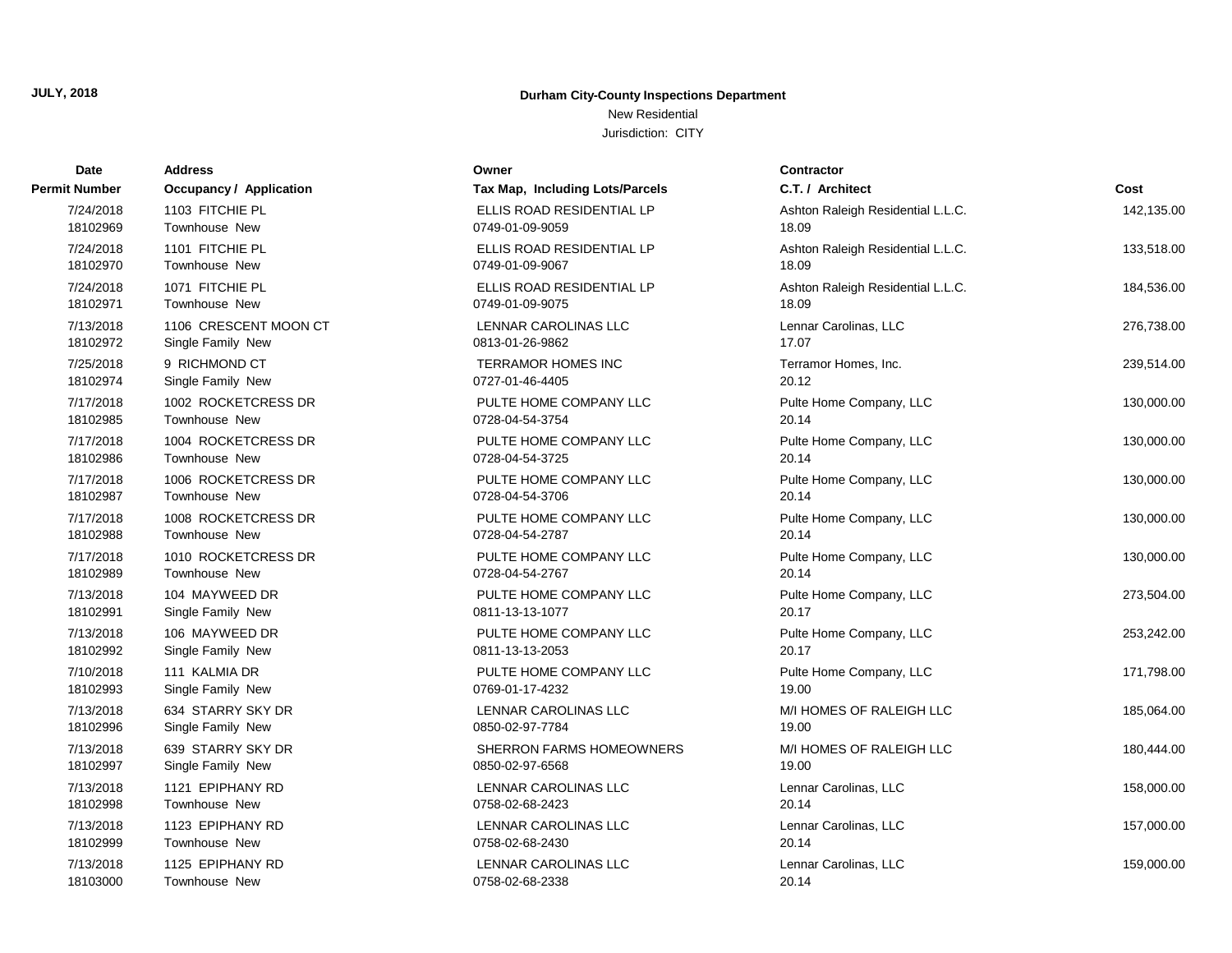### New Residential

| Date          | <b>Address</b>                 | Owner                           | <b>Contractor</b>                 |            |
|---------------|--------------------------------|---------------------------------|-----------------------------------|------------|
| Permit Number | <b>Occupancy / Application</b> | Tax Map, Including Lots/Parcels | C.T. / Architect                  | Cost       |
| 7/24/2018     | 1103 FITCHIE PL                | ELLIS ROAD RESIDENTIAL LP       | Ashton Raleigh Residential L.L.C. | 142,135.00 |
| 18102969      | Townhouse New                  | 0749-01-09-9059                 | 18.09                             |            |
| 7/24/2018     | 1101 FITCHIE PL                | ELLIS ROAD RESIDENTIAL LP       | Ashton Raleigh Residential L.L.C. | 133,518.00 |
| 18102970      | Townhouse New                  | 0749-01-09-9067                 | 18.09                             |            |
| 7/24/2018     | 1071 FITCHIE PL                | ELLIS ROAD RESIDENTIAL LP       | Ashton Raleigh Residential L.L.C. | 184,536.00 |
| 18102971      | Townhouse New                  | 0749-01-09-9075                 | 18.09                             |            |
| 7/13/2018     | 1106 CRESCENT MOON CT          | <b>LENNAR CAROLINAS LLC</b>     | Lennar Carolinas, LLC             | 276,738.00 |
| 18102972      | Single Family New              | 0813-01-26-9862                 | 17.07                             |            |
| 7/25/2018     | 9 RICHMOND CT                  | <b>TERRAMOR HOMES INC</b>       | Terramor Homes, Inc.              | 239,514.00 |
| 18102974      | Single Family New              | 0727-01-46-4405                 | 20.12                             |            |
| 7/17/2018     | 1002 ROCKETCRESS DR            | PULTE HOME COMPANY LLC          | Pulte Home Company, LLC           | 130,000.00 |
| 18102985      | <b>Townhouse New</b>           | 0728-04-54-3754                 | 20.14                             |            |
| 7/17/2018     | 1004 ROCKETCRESS DR            | PULTE HOME COMPANY LLC          | Pulte Home Company, LLC           | 130,000.00 |
| 18102986      | <b>Townhouse New</b>           | 0728-04-54-3725                 | 20.14                             |            |
| 7/17/2018     | 1006 ROCKETCRESS DR            | PULTE HOME COMPANY LLC          | Pulte Home Company, LLC           | 130,000.00 |
| 18102987      | <b>Townhouse New</b>           | 0728-04-54-3706                 | 20.14                             |            |
| 7/17/2018     | 1008 ROCKETCRESS DR            | PULTE HOME COMPANY LLC          | Pulte Home Company, LLC           | 130,000.00 |
| 18102988      | <b>Townhouse New</b>           | 0728-04-54-2787                 | 20.14                             |            |
| 7/17/2018     | 1010 ROCKETCRESS DR            | PULTE HOME COMPANY LLC          | Pulte Home Company, LLC           | 130,000.00 |
| 18102989      | <b>Townhouse New</b>           | 0728-04-54-2767                 | 20.14                             |            |
| 7/13/2018     | 104 MAYWEED DR                 | PULTE HOME COMPANY LLC          | Pulte Home Company, LLC           | 273,504.00 |
| 18102991      | Single Family New              | 0811-13-13-1077                 | 20.17                             |            |
| 7/13/2018     | 106 MAYWEED DR                 | PULTE HOME COMPANY LLC          | Pulte Home Company, LLC           | 253,242.00 |
| 18102992      | Single Family New              | 0811-13-13-2053                 | 20.17                             |            |
| 7/10/2018     | 111 KALMIA DR                  | PULTE HOME COMPANY LLC          | Pulte Home Company, LLC           | 171,798.00 |
| 18102993      | Single Family New              | 0769-01-17-4232                 | 19.00                             |            |
| 7/13/2018     | 634 STARRY SKY DR              | LENNAR CAROLINAS LLC            | M/I HOMES OF RALEIGH LLC          | 185,064.00 |
| 18102996      | Single Family New              | 0850-02-97-7784                 | 19.00                             |            |
| 7/13/2018     | 639 STARRY SKY DR              | SHERRON FARMS HOMEOWNERS        | M/I HOMES OF RALEIGH LLC          | 180,444.00 |
| 18102997      | Single Family New              | 0850-02-97-6568                 | 19.00                             |            |
| 7/13/2018     | 1121 EPIPHANY RD               | LENNAR CAROLINAS LLC            | Lennar Carolinas, LLC             | 158,000.00 |
| 18102998      | Townhouse New                  | 0758-02-68-2423                 | 20.14                             |            |
| 7/13/2018     | 1123 EPIPHANY RD               | LENNAR CAROLINAS LLC            | Lennar Carolinas, LLC             | 157,000.00 |
| 18102999      | <b>Townhouse New</b>           | 0758-02-68-2430                 | 20.14                             |            |
| 7/13/2018     | 1125 EPIPHANY RD               | LENNAR CAROLINAS LLC            | Lennar Carolinas, LLC             | 159,000.00 |
| 18103000      | Townhouse New                  | 0758-02-68-2338                 | 20.14                             |            |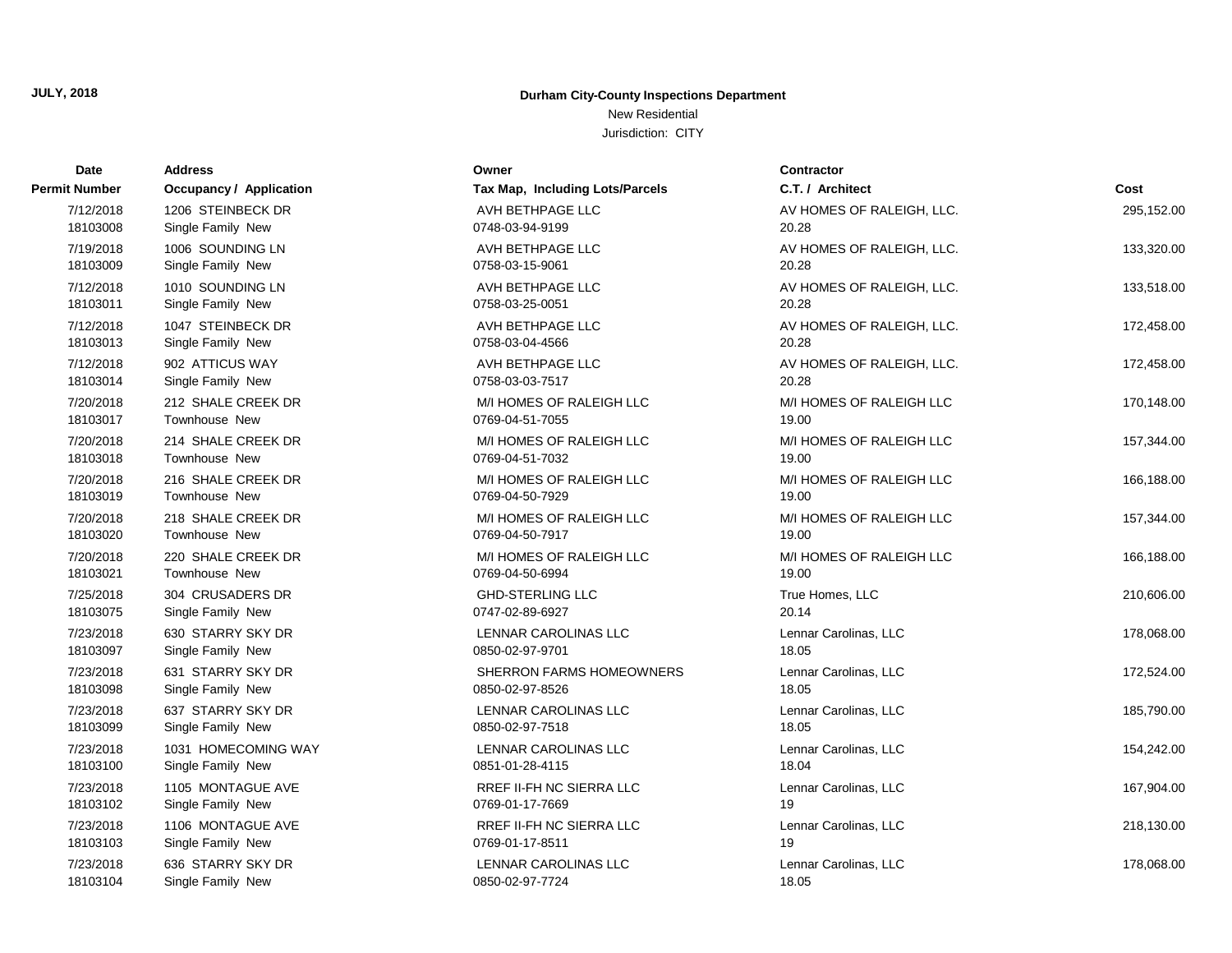New Residential

| <b>Date</b>   | <b>Address</b>                 | Owner                           | <b>Contractor</b>         |            |
|---------------|--------------------------------|---------------------------------|---------------------------|------------|
| Permit Number | <b>Occupancy / Application</b> | Tax Map, Including Lots/Parcels | C.T. / Architect          | Cost       |
| 7/12/2018     | 1206 STEINBECK DR              | AVH BETHPAGE LLC                | AV HOMES OF RALEIGH, LLC. | 295,152.00 |
| 18103008      | Single Family New              | 0748-03-94-9199                 | 20.28                     |            |
| 7/19/2018     | 1006 SOUNDING LN               | AVH BETHPAGE LLC                | AV HOMES OF RALEIGH, LLC. | 133,320.00 |
| 18103009      | Single Family New              | 0758-03-15-9061                 | 20.28                     |            |
| 7/12/2018     | 1010 SOUNDING LN               | AVH BETHPAGE LLC                | AV HOMES OF RALEIGH, LLC. | 133,518.00 |
| 18103011      | Single Family New              | 0758-03-25-0051                 | 20.28                     |            |
| 7/12/2018     | 1047 STEINBECK DR              | AVH BETHPAGE LLC                | AV HOMES OF RALEIGH, LLC. | 172,458.00 |
| 18103013      | Single Family New              | 0758-03-04-4566                 | 20.28                     |            |
| 7/12/2018     | 902 ATTICUS WAY                | AVH BETHPAGE LLC                | AV HOMES OF RALEIGH, LLC. | 172,458.00 |
| 18103014      | Single Family New              | 0758-03-03-7517                 | 20.28                     |            |
| 7/20/2018     | 212 SHALE CREEK DR             | M/I HOMES OF RALEIGH LLC        | M/I HOMES OF RALEIGH LLC  | 170,148.00 |
| 18103017      | <b>Townhouse New</b>           | 0769-04-51-7055                 | 19.00                     |            |
| 7/20/2018     | 214 SHALE CREEK DR             | M/I HOMES OF RALEIGH LLC        | M/I HOMES OF RALEIGH LLC  | 157,344.00 |
| 18103018      | <b>Townhouse New</b>           | 0769-04-51-7032                 | 19.00                     |            |
| 7/20/2018     | 216 SHALE CREEK DR             | M/I HOMES OF RALEIGH LLC        | M/I HOMES OF RALEIGH LLC  | 166,188.00 |
| 18103019      | <b>Townhouse New</b>           | 0769-04-50-7929                 | 19.00                     |            |
| 7/20/2018     | 218 SHALE CREEK DR             | M/I HOMES OF RALEIGH LLC        | M/I HOMES OF RALEIGH LLC  | 157,344.00 |
| 18103020      | <b>Townhouse New</b>           | 0769-04-50-7917                 | 19.00                     |            |
| 7/20/2018     | 220 SHALE CREEK DR             | M/I HOMES OF RALEIGH LLC        | M/I HOMES OF RALEIGH LLC  | 166,188.00 |
| 18103021      | Townhouse New                  | 0769-04-50-6994                 | 19.00                     |            |
| 7/25/2018     | 304 CRUSADERS DR               | <b>GHD-STERLING LLC</b>         | True Homes, LLC           | 210,606.00 |
| 18103075      | Single Family New              | 0747-02-89-6927                 | 20.14                     |            |
| 7/23/2018     | 630 STARRY SKY DR              | LENNAR CAROLINAS LLC            | Lennar Carolinas, LLC     | 178,068.00 |
| 18103097      | Single Family New              | 0850-02-97-9701                 | 18.05                     |            |
| 7/23/2018     | 631 STARRY SKY DR              | SHERRON FARMS HOMEOWNERS        | Lennar Carolinas, LLC     | 172,524.00 |
| 18103098      | Single Family New              | 0850-02-97-8526                 | 18.05                     |            |
| 7/23/2018     | 637 STARRY SKY DR              | LENNAR CAROLINAS LLC            | Lennar Carolinas, LLC     | 185,790.00 |
| 18103099      | Single Family New              | 0850-02-97-7518                 | 18.05                     |            |
| 7/23/2018     | 1031 HOMECOMING WAY            | LENNAR CAROLINAS LLC            | Lennar Carolinas, LLC     | 154,242.00 |
| 18103100      | Single Family New              | 0851-01-28-4115                 | 18.04                     |            |
| 7/23/2018     | 1105 MONTAGUE AVE              | <b>RREF II-FH NC SIERRA LLC</b> | Lennar Carolinas, LLC     | 167,904.00 |
| 18103102      | Single Family New              | 0769-01-17-7669                 | 19                        |            |
| 7/23/2018     | 1106 MONTAGUE AVE              | <b>RREF II-FH NC SIERRA LLC</b> | Lennar Carolinas, LLC     | 218,130.00 |
| 18103103      | Single Family New              | 0769-01-17-8511                 | 19                        |            |
| 7/23/2018     | 636 STARRY SKY DR              | LENNAR CAROLINAS LLC            | Lennar Carolinas, LLC     | 178,068.00 |
| 18103104      | Single Family New              | 0850-02-97-7724                 | 18.05                     |            |